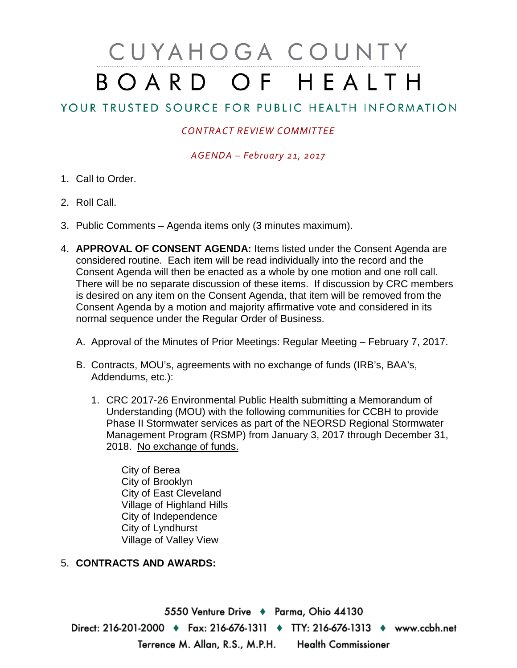## CUYAHOGA COUNTY BOARD OF HEALTH

## YOUR TRUSTED SOURCE FOR PUBLIC HEALTH INFORMATION

## *CONTRACT REVIEW COMMITTEE*

*AGENDA – February 21, 2017*

- 1. Call to Order.
- 2. Roll Call.
- 3. Public Comments Agenda items only (3 minutes maximum).
- 4. **APPROVAL OF CONSENT AGENDA:** Items listed under the Consent Agenda are considered routine. Each item will be read individually into the record and the Consent Agenda will then be enacted as a whole by one motion and one roll call. There will be no separate discussion of these items. If discussion by CRC members is desired on any item on the Consent Agenda, that item will be removed from the Consent Agenda by a motion and majority affirmative vote and considered in its normal sequence under the Regular Order of Business.
	- A. Approval of the Minutes of Prior Meetings: Regular Meeting February 7, 2017.
	- B. Contracts, MOU's, agreements with no exchange of funds (IRB's, BAA's, Addendums, etc.):
		- 1. CRC 2017-26 Environmental Public Health submitting a Memorandum of Understanding (MOU) with the following communities for CCBH to provide Phase II Stormwater services as part of the NEORSD Regional Stormwater Management Program (RSMP) from January 3, 2017 through December 31, 2018. No exchange of funds.

City of Berea City of Brooklyn City of East Cleveland Village of Highland Hills City of Independence City of Lyndhurst Village of Valley View

## 5. **CONTRACTS AND AWARDS:**